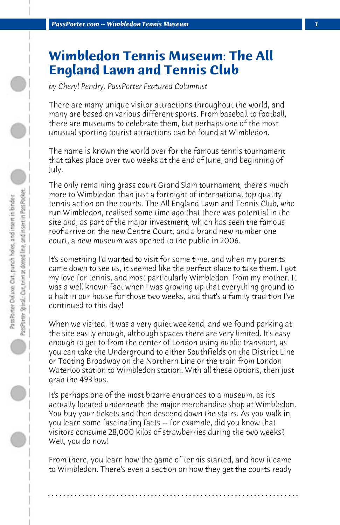## **Wimbledon Tennis Museum: The All England Lawn and Tennis Club**

*by Cheryl Pendry, PassPorter Featured Columnist*

There are many unique visitor attractions throughout the world, and many are based on various different sports. From baseball to football, there are museums to celebrate them, but perhaps one of the most unusual sporting tourist attractions can be found at Wimbledon.

The name is known the world over for the famous tennis tournament that takes place over two weeks at the end of June, and beginning of July.

The only remaining grass court Grand Slam tournament, there's much more to Wimbledon than just a fortnight of international top quality tennis action on the courts. The All England Lawn and Tennis Club, who run Wimbledon, realised some time ago that there was potential in the site and, as part of the major investment, which has seen the famous roof arrive on the new Centre Court, and a brand new number one court, a new museum was opened to the public in 2006.

It's something I'd wanted to visit for some time, and when my parents came down to see us, it seemed like the perfect place to take them. I got my love for tennis, and most particularly Wimbledon, from my mother. It was a well known fact when I was growing up that everything ground to a halt in our house for those two weeks, and that's a family tradition I've continued to this day!

When we visited, it was a very quiet weekend, and we found parking at the site easily enough, although spaces there are very limited. It's easy enough to get to from the center of London using public transport, as you can take the Underground to either Southfields on the District Line or Tooting Broadway on the Northern Line or the train from London Waterloo station to Wimbledon station. With all these options, then just grab the 493 bus.

It's perhaps one of the most bizarre entrances to a museum, as it's actually located underneath the major merchandise shop at Wimbledon. You buy your tickets and then descend down the stairs. As you walk in, you learn some fascinating facts -- for example, did you know that visitors consume 28,000 kilos of strawberries during the two weeks? Well, you do now!

From there, you learn how the game of tennis started, and how it came to Wimbledon. There's even a section on how they get the courts ready

**. . . . . . . . . . . . . . . . . . . . . . . . . . . . . . . . . . . . . . . . . . . . . . . . . . . . . . . . . . . . . . . . . .**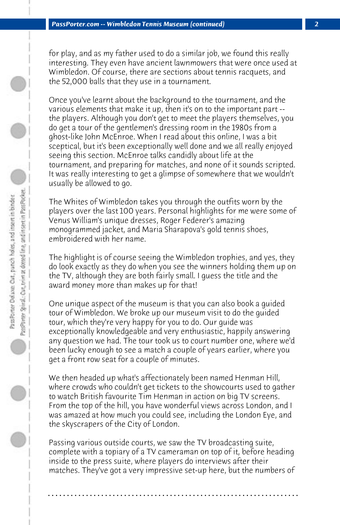for play, and as my father used to do a similar job, we found this really interesting. They even have ancient lawnmowers that were once used at Wimbledon. Of course, there are sections about tennis racquets, and the 52,000 balls that they use in a tournament.

Once you've learnt about the background to the tournament, and the various elements that make it up, then it's on to the important part - the players. Although you don't get to meet the players themselves, you do get a tour of the gentlemen's dressing room in the 1980s from a ghost-like John McEnroe. When I read about this online, I was a bit sceptical, but it's been exceptionally well done and we all really enjoyed seeing this section. McEnroe talks candidly about life at the tournament, and preparing for matches, and none of it sounds scripted. It was really interesting to get a glimpse of somewhere that we wouldn't usually be allowed to go.

The Whites of Wimbledon takes you through the outfits worn by the players over the last 100 years. Personal highlights for me were some of Venus William's unique dresses, Roger Federer's amazing monogrammed jacket, and Maria Sharapova's gold tennis shoes, embroidered with her name.

The highlight is of course seeing the Wimbledon trophies, and yes, they do look exactly as they do when you see the winners holding them up on the TV, although they are both fairly small. I guess the title and the award money more than makes up for that!

One unique aspect of the museum is that you can also book a guided tour of Wimbledon. We broke up our museum visit to do the guided tour, which they're very happy for you to do. Our guide was exceptionally knowledgeable and very enthusiastic, happily answering any question we had. The tour took us to court number one, where we'd been lucky enough to see a match a couple of years earlier, where you get a front row seat for a couple of minutes.

We then headed up what's affectionately been named Henman Hill, where crowds who couldn't get tickets to the showcourts used to gather to watch British favourite Tim Henman in action on big TV screens. From the top of the hill, you have wonderful views across London, and I was amazed at how much you could see, including the London Eye, and the skyscrapers of the City of London.

Passing various outside courts, we saw the TV broadcasting suite, complete with a topiary of a TV cameraman on top of it, before heading inside to the press suite, where players do interviews after their matches. They've got a very impressive set-up here, but the numbers of

**. . . . . . . . . . . . . . . . . . . . . . . . . . . . . . . . . . . . . . . . . . . . . . . . . . . . . . . . . . . . . . . . . .**